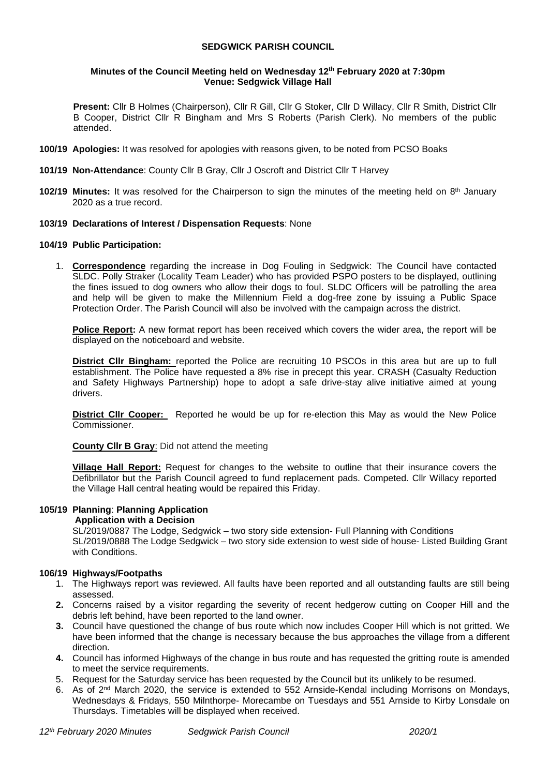### **SEDGWICK PARISH COUNCIL**

#### **Minutes of the Council Meeting held on Wednesday 12th February 2020 at 7:30pm Venue: Sedgwick Village Hall**

**Present:** Cllr B Holmes (Chairperson), Cllr R Gill, Cllr G Stoker, Cllr D Willacy, Cllr R Smith, District Cllr B Cooper, District Cllr R Bingham and Mrs S Roberts (Parish Clerk). No members of the public attended.

- **100/19 Apologies:** It was resolved for apologies with reasons given, to be noted from PCSO Boaks
- **101/19 Non-Attendance**: County Cllr B Gray, Cllr J Oscroft and District Cllr T Harvey
- **102/19 Minutes:** It was resolved for the Chairperson to sign the minutes of the meeting held on 8<sup>th</sup> January 2020 as a true record.

### **103/19 Declarations of Interest / Dispensation Requests**: None

### **104/19 Public Participation:**

1. **Correspondence** regarding the increase in Dog Fouling in Sedgwick: The Council have contacted SLDC. Polly Straker (Locality Team Leader) who has provided PSPO posters to be displayed, outlining the fines issued to dog owners who allow their dogs to foul. SLDC Officers will be patrolling the area and help will be given to make the Millennium Field a dog-free zone by issuing a Public Space Protection Order. The Parish Council will also be involved with the campaign across the district.

**Police Report:** A new format report has been received which covers the wider area, the report will be displayed on the noticeboard and website.

**District Cllr Bingham:** reported the Police are recruiting 10 PSCOs in this area but are up to full establishment. The Police have requested a 8% rise in precept this year. CRASH (Casualty Reduction and Safety Highways Partnership) hope to adopt a safe drive-stay alive initiative aimed at young drivers.

**District Cllr Cooper:** Reported he would be up for re-election this May as would the New Police Commissioner.

**County Cllr B Gray**: Did not attend the meeting

**Village Hall Report:** Request for changes to the website to outline that their insurance covers the Defibrillator but the Parish Council agreed to fund replacement pads. Competed. Cllr Willacy reported the Village Hall central heating would be repaired this Friday.

#### **105/19 Planning**: **Planning Application**

#### **Application with a Decision**

SL/2019/0887 The Lodge, Sedgwick – two story side extension- Full Planning with Conditions SL/2019/0888 The Lodge Sedgwick – two story side extension to west side of house- Listed Building Grant with Conditions.

# **106/19 Highways/Footpaths**

- 1. The Highways report was reviewed. All faults have been reported and all outstanding faults are still being assessed.
- **2.** Concerns raised by a visitor regarding the severity of recent hedgerow cutting on Cooper Hill and the debris left behind, have been reported to the land owner.
- **3.** Council have questioned the change of bus route which now includes Cooper Hill which is not gritted. We have been informed that the change is necessary because the bus approaches the village from a different direction.
- **4.** Council has informed Highways of the change in bus route and has requested the gritting route is amended to meet the service requirements.
- 5. Request for the Saturday service has been requested by the Council but its unlikely to be resumed.
- 6. As of 2<sup>nd</sup> March 2020, the service is extended to 552 Arnside-Kendal including Morrisons on Mondays, Wednesdays & Fridays, 550 Milnthorpe- Morecambe on Tuesdays and 551 Arnside to Kirby Lonsdale on Thursdays. Timetables will be displayed when received.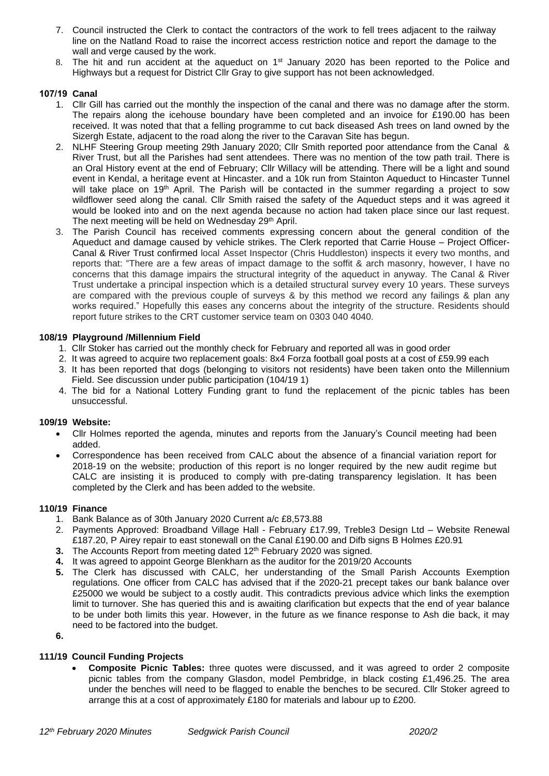- 7. Council instructed the Clerk to contact the contractors of the work to fell trees adjacent to the railway line on the Natland Road to raise the incorrect access restriction notice and report the damage to the wall and verge caused by the work.
- 8. The hit and run accident at the aqueduct on 1<sup>st</sup> January 2020 has been reported to the Police and Highways but a request for District Cllr Gray to give support has not been acknowledged.

## **107/19 Canal**

- 1. Cllr Gill has carried out the monthly the inspection of the canal and there was no damage after the storm. The repairs along the icehouse boundary have been completed and an invoice for £190.00 has been received. It was noted that that a felling programme to cut back diseased Ash trees on land owned by the Sizergh Estate, adjacent to the road along the river to the Caravan Site has begun.
- 2. NLHF Steering Group meeting 29th January 2020; Cllr Smith reported poor attendance from the Canal & River Trust, but all the Parishes had sent attendees. There was no mention of the tow path trail. There is an Oral History event at the end of February; Cllr Willacy will be attending. There will be a light and sound event in Kendal, a heritage event at Hincaster. and a 10k run from Stainton Aqueduct to Hincaster Tunnel will take place on 19<sup>th</sup> April. The Parish will be contacted in the summer regarding a project to sow wildflower seed along the canal. Cllr Smith raised the safety of the Aqueduct steps and it was agreed it would be looked into and on the next agenda because no action had taken place since our last request. The next meeting will be held on Wednesday 29<sup>th</sup> April.
- 3. The Parish Council has received comments expressing concern about the general condition of the Aqueduct and damage caused by vehicle strikes. The Clerk reported that Carrie House – Project Officer-Canal & River Trust confirmed local Asset Inspector (Chris Huddleston) inspects it every two months, and reports that: "There are a few areas of impact damage to the soffit & arch masonry, however, I have no concerns that this damage impairs the structural integrity of the aqueduct in anyway. The Canal & River Trust undertake a principal inspection which is a detailed structural survey every 10 years. These surveys are compared with the previous couple of surveys & by this method we record any failings & plan any works required." Hopefully this eases any concerns about the integrity of the structure. Residents should report future strikes to the CRT customer service team on 0303 040 4040.

## **108/19 Playground /Millennium Field**

- 1. Cllr Stoker has carried out the monthly check for February and reported all was in good order
- 2. It was agreed to acquire two replacement goals: 8x4 Forza football goal posts at a cost of £59.99 each
- 3. It has been reported that dogs (belonging to visitors not residents) have been taken onto the Millennium Field. See discussion under public participation (104/19 1)
- 4. The bid for a National Lottery Funding grant to fund the replacement of the picnic tables has been unsuccessful.

#### **109/19 Website:**

- Cllr Holmes reported the agenda, minutes and reports from the January's Council meeting had been added.
- Correspondence has been received from CALC about the absence of a financial variation report for 2018-19 on the website; production of this report is no longer required by the new audit regime but CALC are insisting it is produced to comply with pre-dating transparency legislation. It has been completed by the Clerk and has been added to the website.

## **110/19 Finance**

- 1. Bank Balance as of 30th January 2020 Current a/c £8,573.88
- 2. Payments Approved: Broadband Village Hall February £17.99, Treble3 Design Ltd Website Renewal £187.20, P Airey repair to east stonewall on the Canal £190.00 and Difb signs B Holmes £20.91
- **3.** The Accounts Report from meeting dated 12<sup>th</sup> February 2020 was signed.
- **4.** It was agreed to appoint George Blenkharn as the auditor for the 2019/20 Accounts
- **5.** The Clerk has discussed with CALC, her understanding of the Small Parish Accounts Exemption regulations. One officer from CALC has advised that if the 2020-21 precept takes our bank balance over £25000 we would be subject to a costly audit. This contradicts previous advice which links the exemption limit to turnover. She has queried this and is awaiting clarification but expects that the end of year balance to be under both limits this year. However, in the future as we finance response to Ash die back, it may need to be factored into the budget.

#### **6.**

## **111/19 Council Funding Projects**

• **Composite Picnic Tables:** three quotes were discussed, and it was agreed to order 2 composite picnic tables from the company Glasdon, model Pembridge, in black costing £1,496.25. The area under the benches will need to be flagged to enable the benches to be secured. Cllr Stoker agreed to arrange this at a cost of approximately £180 for materials and labour up to £200.